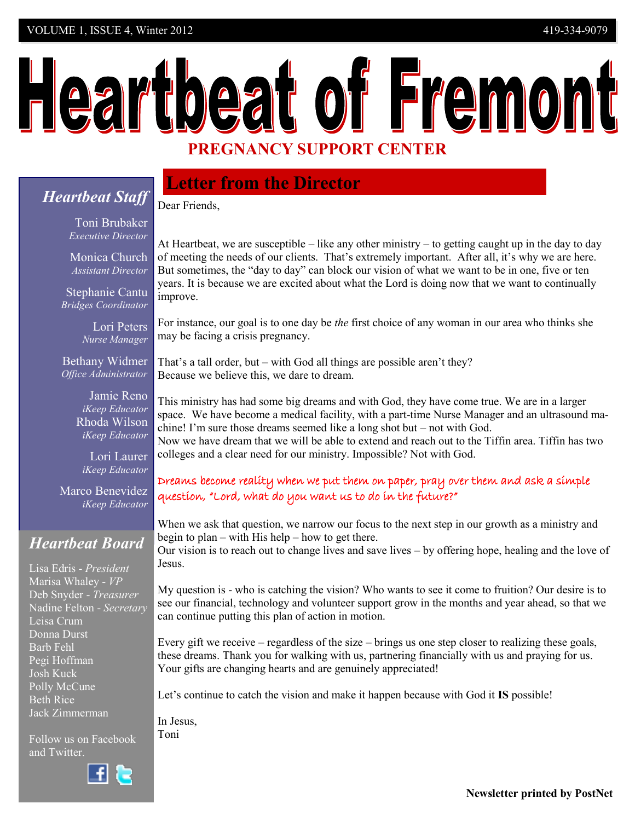# Heartbeat of Fremont **PREGNANCY SUPPORT CENTER**

# *Heartbeat Staff*

# **Letter from the Director**

Dear Friends,

Toni Brubaker *Executive Director*

Monica Church *Assistant Director*

Stephanie Cantu  *Bridges Coordinator* 

> Lori Peters *Nurse Manager*

Bethany Widmer *Office Administrator*

> Jamie Reno *iKeep Educator* Rhoda Wilson *iKeep Educator*

Lori Laurer *iKeep Educator*

Marco Benevidez *iKeep Educator*

# *Heartbeat Board*

Lisa Edris - *President* Marisa Whaley - *VP* Deb Snyder - *Treasurer* Nadine Felton - *Secretary* Leisa Crum Donna Durst Barb Fehl Pegi Hoffman Josh Kuck Polly McCune Beth Rice Jack Zimmerman

Follow us on Facebook and Twitter.



At Heartbeat, we are susceptible – like any other ministry – to getting caught up in the day to day of meeting the needs of our clients. That's extremely important. After all, it's why we are here. But sometimes, the "day to day" can block our vision of what we want to be in one, five or ten years. It is because we are excited about what the Lord is doing now that we want to continually improve.

For instance, our goal is to one day be *the* first choice of any woman in our area who thinks she may be facing a crisis pregnancy.

That's a tall order, but – with God all things are possible aren't they? Because we believe this, we dare to dream.

This ministry has had some big dreams and with God, they have come true. We are in a larger space. We have become a medical facility, with a part-time Nurse Manager and an ultrasound machine! I'm sure those dreams seemed like a long shot but – not with God.

Now we have dream that we will be able to extend and reach out to the Tiffin area. Tiffin has two colleges and a clear need for our ministry. Impossible? Not with God.

### Dreams become reality when we put them on paper, pray over them and ask a simple question, "Lord, what do you want us to do in the future?"

When we ask that question, we narrow our focus to the next step in our growth as a ministry and begin to plan – with His help – how to get there.

Our vision is to reach out to change lives and save lives – by offering hope, healing and the love of Jesus.

My question is - who is catching the vision? Who wants to see it come to fruition? Our desire is to see our financial, technology and volunteer support grow in the months and year ahead, so that we can continue putting this plan of action in motion.

Every gift we receive – regardless of the size – brings us one step closer to realizing these goals, these dreams. Thank you for walking with us, partnering financially with us and praying for us. Your gifts are changing hearts and are genuinely appreciated!

Let's continue to catch the vision and make it happen because with God it **IS** possible!

In Jesus, Toni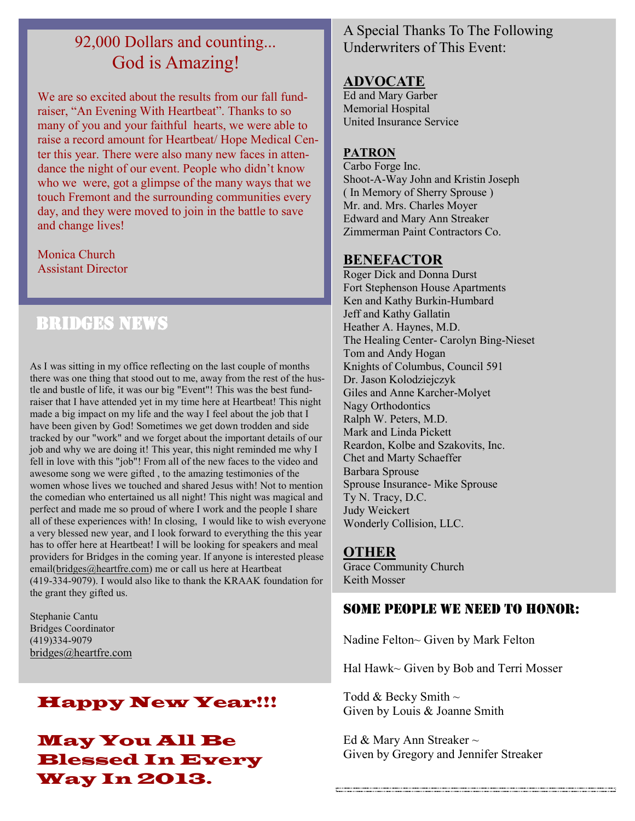# 92,000 Dollars and counting... God is Amazing!

We are so excited about the results from our fall fundraiser, "An Evening With Heartbeat". Thanks to so many of you and your faithful hearts, we were able to raise a record amount for Heartbeat/ Hope Medical Center this year. There were also many new faces in attendance the night of our event. People who didn't know who we were, got a glimpse of the many ways that we touch Fremont and the surrounding communities every day, and they were moved to join in the battle to save and change lives!

Monica Church Assistant Director

# Bridges News

As I was sitting in my office reflecting on the last couple of months there was one thing that stood out to me, away from the rest of the hustle and bustle of life, it was our big "Event"! This was the best fundraiser that I have attended yet in my time here at Heartbeat! This night made a big impact on my life and the way I feel about the job that I have been given by God! Sometimes we get down trodden and side tracked by our "work" and we forget about the important details of our job and why we are doing it! This year, this night reminded me why I fell in love with this "job"! From all of the new faces to the video and awesome song we were gifted , to the amazing testimonies of the women whose lives we touched and shared Jesus with! Not to mention the comedian who entertained us all night! This night was magical and perfect and made me so proud of where I work and the people I share all of these experiences with! In closing, I would like to wish everyone a very blessed new year, and I look forward to everything the this year has to offer here at Heartbeat! I will be looking for speakers and meal providers for Bridges in the coming year. If anyone is interested please email[\(bridges@heartfre.com\)](webmail://Compose%20message) me or call us here at Heartbeat (419-334-9079). I would also like to thank the KRAAK foundation for the grant they gifted us.

Stephanie Cantu Bridges Coordinator (419)334-9079 [bridges@heartfre.com](webmail://Compose%20message)

# Happy New Year!!!

May You All Be Blessed In Every Way In 2013.

# A Special Thanks To The Following Underwriters of This Event:

### **ADVOCATE**

Ed and Mary Garber Memorial Hospital United Insurance Service

#### **PATRON**

Carbo Forge Inc. Shoot-A-Way John and Kristin Joseph ( In Memory of Sherry Sprouse ) Mr. and. Mrs. Charles Moyer Edward and Mary Ann Streaker Zimmerman Paint Contractors Co.

#### **BENEFACTOR**

Roger Dick and Donna Durst Fort Stephenson House Apartments Ken and Kathy Burkin-Humbard Jeff and Kathy Gallatin Heather A. Haynes, M.D. The Healing Center- Carolyn Bing-Nieset Tom and Andy Hogan Knights of Columbus, Council 591 Dr. Jason Kolodziejczyk Giles and Anne Karcher-Molyet Nagy Orthodontics Ralph W. Peters, M.D. Mark and Linda Pickett Reardon, Kolbe and Szakovits, Inc. Chet and Marty Schaeffer Barbara Sprouse Sprouse Insurance- Mike Sprouse Ty N. Tracy, D.C. Judy Weickert Wonderly Collision, LLC.

#### **OTHER**

Grace Community Church Keith Mosser

# Some people we need to honor:

Nadine Felton~ Given by Mark Felton

Hal Hawk~ Given by Bob and Terri Mosser

Todd  $&$  Becky Smith  $\sim$ Given by Louis & Joanne Smith

Ed & Mary Ann Streaker  $\sim$ Given by Gregory and Jennifer Streaker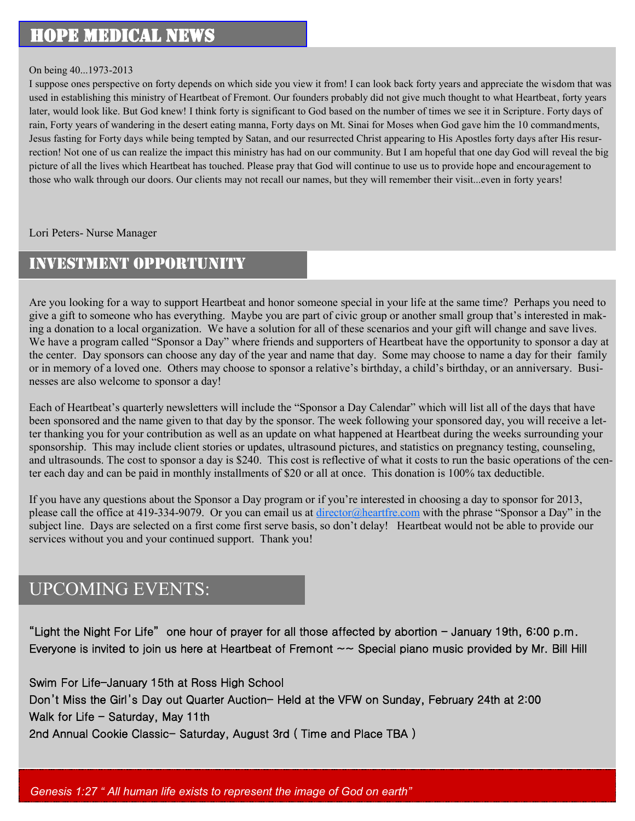# Hope Medical News

#### On being 40...1973-2013

I suppose ones perspective on forty depends on which side you view it from! I can look back forty years and appreciate the wisdom that was used in establishing this ministry of Heartbeat of Fremont. Our founders probably did not give much thought to what Heartbeat, forty years later, would look like. But God knew! I think forty is significant to God based on the number of times we see it in Scripture. Forty days of rain, Forty years of wandering in the desert eating manna, Forty days on Mt. Sinai for Moses when God gave him the 10 commandments, Jesus fasting for Forty days while being tempted by Satan, and our resurrected Christ appearing to His Apostles forty days after His resurrection! Not one of us can realize the impact this ministry has had on our community. But I am hopeful that one day God will reveal the big picture of all the lives which Heartbeat has touched. Please pray that God will continue to use us to provide hope and encouragement to those who walk through our doors. Our clients may not recall our names, but they will remember their visit...even in forty years!

Lori Peters- Nurse Manager

# Investment Opportunity

Are you looking for a way to support Heartbeat and honor someone special in your life at the same time? Perhaps you need to give a gift to someone who has everything. Maybe you are part of civic group or another small group that's interested in making a donation to a local organization. We have a solution for all of these scenarios and your gift will change and save lives. We have a program called "Sponsor a Day" where friends and supporters of Heartbeat have the opportunity to sponsor a day at the center. Day sponsors can choose any day of the year and name that day. Some may choose to name a day for their family or in memory of a loved one. Others may choose to sponsor a relative's birthday, a child's birthday, or an anniversary. Businesses are also welcome to sponsor a day!

Each of Heartbeat's quarterly newsletters will include the "Sponsor a Day Calendar" which will list all of the days that have been sponsored and the name given to that day by the sponsor. The week following your sponsored day, you will receive a letter thanking you for your contribution as well as an update on what happened at Heartbeat during the weeks surrounding your sponsorship. This may include client stories or updates, ultrasound pictures, and statistics on pregnancy testing, counseling, and ultrasounds. The cost to sponsor a day is \$240. This cost is reflective of what it costs to run the basic operations of the center each day and can be paid in monthly installments of \$20 or all at once. This donation is 100% tax deductible.

If you have any questions about the Sponsor a Day program or if you're interested in choosing a day to sponsor for 2013, please call the office at 419-334-9079. Or you can email us at [director@heartfre.com](mailto:director@heartfre.com) with the phrase "Sponsor a Day" in the subject line. Days are selected on a first come first serve basis, so don't delay! Heartbeat would not be able to provide our services without you and your continued support. Thank you!

# UPCOMING EVENTS:

"Light the Night For Life" one hour of prayer for all those affected by abortion  $-$  January 19th, 6:00 p.m. Everyone is invited to join us here at Heartbeat of Fremont  $\sim$  Special piano music provided by Mr. Bill Hill

Swim For Life-January 15th at Ross High School Don't Miss the Girl's Day out Quarter Auction- Held at the VFW on Sunday, February 24th at 2:00 Walk for Life  $-$  Saturday, May 11th 2nd Annual Cookie Classic- Saturday, August 3rd ( Time and Place TBA )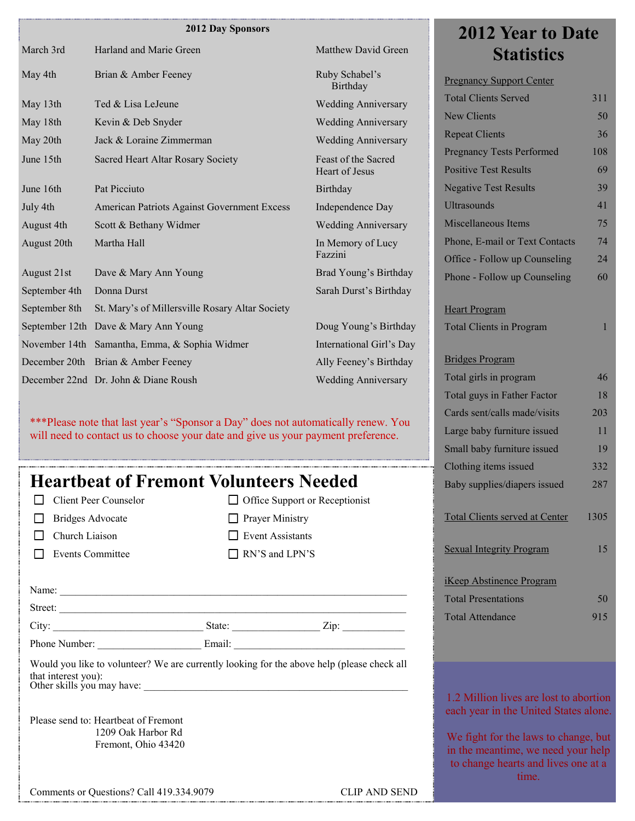#### **2012 Day Sponsors**

|                |                                                 |                            | ZVIZ IVAI IV DAIU                |     |
|----------------|-------------------------------------------------|----------------------------|----------------------------------|-----|
| March 3rd      | Harland and Marie Green                         | <b>Matthew David Green</b> | <b>Statistics</b>                |     |
| May 4th        | Brian & Amber Feeney                            | Ruby Schabel's<br>Birthday | <b>Pregnancy Support Center</b>  |     |
| May 13th       | Ted & Lisa LeJeune                              | <b>Wedding Anniversary</b> | <b>Total Clients Served</b>      | 311 |
| May 18th       | Kevin & Deb Snyder                              | <b>Wedding Anniversary</b> | New Clients                      | 50  |
| May 20th       | Jack & Loraine Zimmerman                        | <b>Wedding Anniversary</b> | <b>Repeat Clients</b>            | 36  |
| June 15th      | Sacred Heart Altar Rosary Society               | Feast of the Sacred        | <b>Pregnancy Tests Performed</b> | 108 |
|                |                                                 | <b>Heart of Jesus</b>      | <b>Positive Test Results</b>     | 69  |
| June 16th      | Pat Picciuto                                    | Birthday                   | <b>Negative Test Results</b>     | 39  |
| July 4th       | American Patriots Against Government Excess     | Independence Day           | <b>Ultrasounds</b>               | 41  |
| August 4th     | Scott & Bethany Widmer                          | <b>Wedding Anniversary</b> | Miscellaneous Items              | 75  |
| August 20th    | Martha Hall                                     | In Memory of Lucy          | Phone, E-mail or Text Contacts   | 74  |
|                |                                                 | Fazzini                    | Office - Follow up Counseling    | 24  |
| August 21st    | Dave & Mary Ann Young                           | Brad Young's Birthday      | Phone - Follow up Counseling     | 60  |
| September 4th  | Donna Durst                                     | Sarah Durst's Birthday     |                                  |     |
| September 8th  | St. Mary's of Millersville Rosary Altar Society |                            | <b>Heart Program</b>             |     |
| September 12th | Dave & Mary Ann Young                           | Doug Young's Birthday      | <b>Total Clients in Program</b>  |     |
| November 14th  | Samantha, Emma, & Sophia Widmer                 | International Girl's Day   |                                  |     |
|                | December 20th Brian & Amber Feeney              | Ally Feeney's Birthday     | <b>Bridges Program</b>           |     |
|                | December 22nd Dr. John & Diane Roush            | <b>Wedding Anniversary</b> | Total girls in program           | 46  |

\*\*\*Please note that last year's "Sponsor a Day" does not automatically renew. You will need to contact us to choose your date and give us your payment preference.

# **Heartbeat of Fremont Volunteers Needed**

|  | $\Box$ Client Peer Counselor |
|--|------------------------------|
|  |                              |

| $\Box$ Bridges Advocate |  |
|-------------------------|--|
|-------------------------|--|

- **Church Liaison**
- Events Committee

□ Office Support or Receptionist **Prayer Ministry** Event Assistants RN'S and LPN'S

| Name:   |        |      |
|---------|--------|------|
| Street: |        |      |
| City:   | State: | Zip: |

Phone Number: **Email:**  $\blacksquare$ 

Would you like to volunteer? We are currently looking for the above help (please check all that interest you): Other skills you may have:

Please send to: Heartbeat of Fremont 1209 Oak Harbor Rd Fremont, Ohio 43420

Comments or Questions? Call 419.334.9079 CLIP AND SEND

# **2012 Year to Date**

| <b>Repeat Clients</b>                 | 36              |
|---------------------------------------|-----------------|
| <b>Pregnancy Tests Performed</b>      | 108             |
| <b>Positive Test Results</b>          | 69              |
| <b>Negative Test Results</b>          | 39              |
| <b>Ultrasounds</b>                    | 41              |
| Miscellaneous Items                   | 75              |
| Phone, E-mail or Text Contacts        | 74              |
| Office - Follow up Counseling         | $\overline{24}$ |
| Phone - Follow up Counseling          | 60              |
|                                       |                 |
| <b>Heart Program</b>                  |                 |
| <b>Total Clients in Program</b>       | 1               |
|                                       |                 |
| <b>Bridges Program</b>                |                 |
| Total girls in program                | 46              |
| Total guys in Father Factor           | 18              |
| Cards sent/calls made/visits          | 203             |
| Large baby furniture issued           | 11              |
| Small baby furniture issued           | 19              |
| Clothing items issued                 | 332             |
| Baby supplies/diapers issued          | 287             |
|                                       |                 |
| <b>Total Clients served at Center</b> | 1305            |
|                                       |                 |
| <b>Sexual Integrity Program</b>       | 15              |
| <b>iKeep Abstinence Program</b>       |                 |
| <b>Total Presentations</b>            | 50              |
| <b>Total Attendance</b>               | 915             |
|                                       |                 |
|                                       |                 |
|                                       |                 |

1.2 Million lives are lost to abortion each year in the United States alone.

We fight for the laws to change, but in the meantime, we need your help to change hearts and lives one at a time.